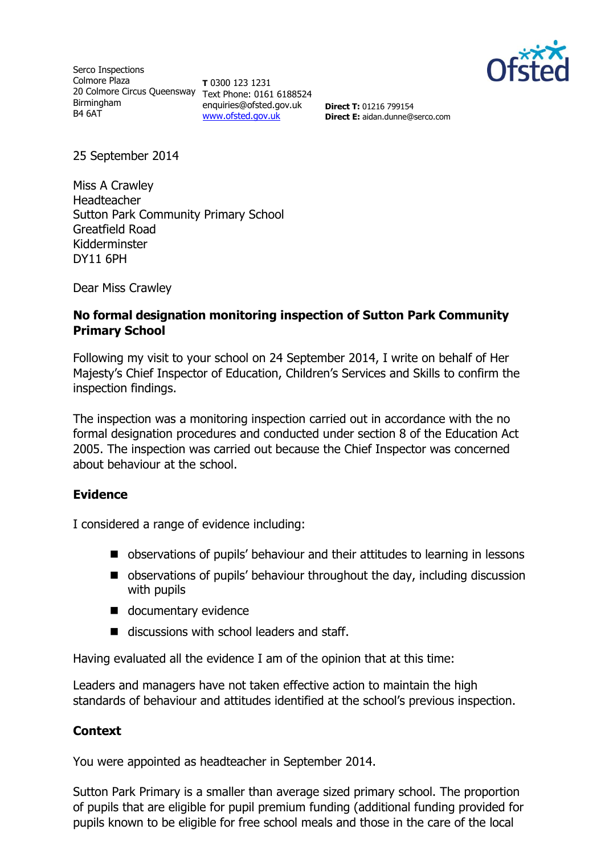

Serco Inspections Colmore Plaza 20 Colmore Circus Queensway Text Phone: 0161 6188524 Birmingham B4 6AT

**T** 0300 123 1231 enquiries@ofsted.gov.uk [www.ofsted.gov.uk](http://www.ofsted.gov.uk/)

**Direct T:** 01216 799154 **Direct E:** aidan.dunne@serco.com

25 September 2014

Miss A Crawley Headteacher Sutton Park Community Primary School Greatfield Road Kidderminster DY11 6PH

Dear Miss Crawley

### **No formal designation monitoring inspection of Sutton Park Community Primary School**

Following my visit to your school on 24 September 2014, I write on behalf of Her Majesty's Chief Inspector of Education, Children's Services and Skills to confirm the inspection findings.

The inspection was a monitoring inspection carried out in accordance with the no formal designation procedures and conducted under section 8 of the Education Act 2005. The inspection was carried out because the Chief Inspector was concerned about behaviour at the school.

#### **Evidence**

I considered a range of evidence including:

- observations of pupils' behaviour and their attitudes to learning in lessons
- observations of pupils' behaviour throughout the day, including discussion with pupils
- documentary evidence
- discussions with school leaders and staff.

Having evaluated all the evidence I am of the opinion that at this time:

Leaders and managers have not taken effective action to maintain the high standards of behaviour and attitudes identified at the school's previous inspection.

#### **Context**

You were appointed as headteacher in September 2014.

Sutton Park Primary is a smaller than average sized primary school. The proportion of pupils that are eligible for pupil premium funding (additional funding provided for pupils known to be eligible for free school meals and those in the care of the local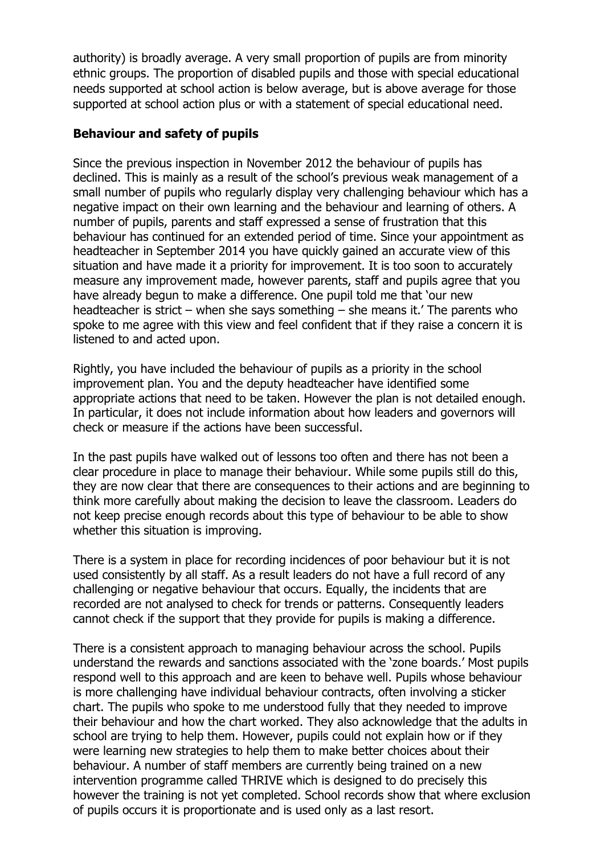authority) is broadly average. A very small proportion of pupils are from minority ethnic groups. The proportion of disabled pupils and those with special educational needs supported at school action is below average, but is above average for those supported at school action plus or with a statement of special educational need.

# **Behaviour and safety of pupils**

Since the previous inspection in November 2012 the behaviour of pupils has declined. This is mainly as a result of the school's previous weak management of a small number of pupils who regularly display very challenging behaviour which has a negative impact on their own learning and the behaviour and learning of others. A number of pupils, parents and staff expressed a sense of frustration that this behaviour has continued for an extended period of time. Since your appointment as headteacher in September 2014 you have quickly gained an accurate view of this situation and have made it a priority for improvement. It is too soon to accurately measure any improvement made, however parents, staff and pupils agree that you have already begun to make a difference. One pupil told me that 'our new headteacher is strict – when she says something – she means it.' The parents who spoke to me agree with this view and feel confident that if they raise a concern it is listened to and acted upon.

Rightly, you have included the behaviour of pupils as a priority in the school improvement plan. You and the deputy headteacher have identified some appropriate actions that need to be taken. However the plan is not detailed enough. In particular, it does not include information about how leaders and governors will check or measure if the actions have been successful.

In the past pupils have walked out of lessons too often and there has not been a clear procedure in place to manage their behaviour. While some pupils still do this, they are now clear that there are consequences to their actions and are beginning to think more carefully about making the decision to leave the classroom. Leaders do not keep precise enough records about this type of behaviour to be able to show whether this situation is improving.

There is a system in place for recording incidences of poor behaviour but it is not used consistently by all staff. As a result leaders do not have a full record of any challenging or negative behaviour that occurs. Equally, the incidents that are recorded are not analysed to check for trends or patterns. Consequently leaders cannot check if the support that they provide for pupils is making a difference.

There is a consistent approach to managing behaviour across the school. Pupils understand the rewards and sanctions associated with the 'zone boards.' Most pupils respond well to this approach and are keen to behave well. Pupils whose behaviour is more challenging have individual behaviour contracts, often involving a sticker chart. The pupils who spoke to me understood fully that they needed to improve their behaviour and how the chart worked. They also acknowledge that the adults in school are trying to help them. However, pupils could not explain how or if they were learning new strategies to help them to make better choices about their behaviour. A number of staff members are currently being trained on a new intervention programme called THRIVE which is designed to do precisely this however the training is not yet completed. School records show that where exclusion of pupils occurs it is proportionate and is used only as a last resort.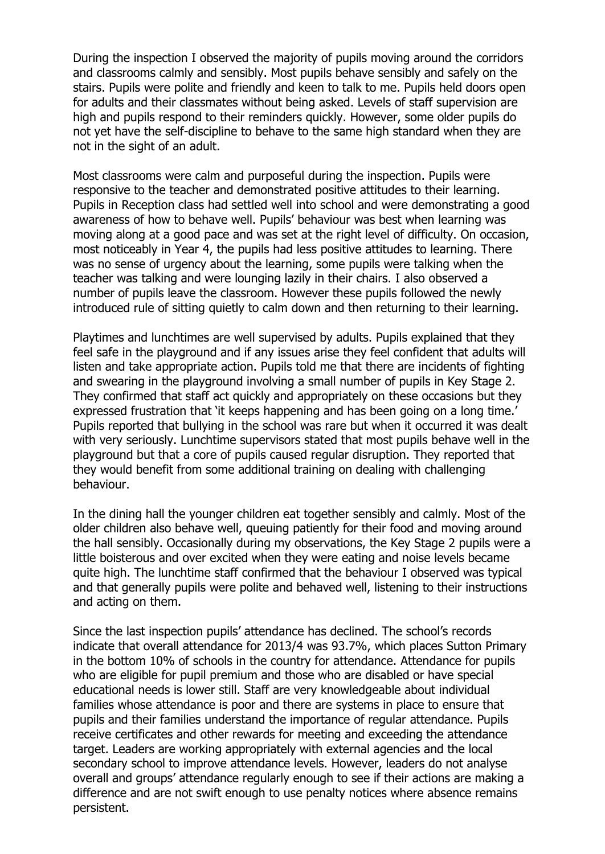During the inspection I observed the majority of pupils moving around the corridors and classrooms calmly and sensibly. Most pupils behave sensibly and safely on the stairs. Pupils were polite and friendly and keen to talk to me. Pupils held doors open for adults and their classmates without being asked. Levels of staff supervision are high and pupils respond to their reminders quickly. However, some older pupils do not yet have the self-discipline to behave to the same high standard when they are not in the sight of an adult.

Most classrooms were calm and purposeful during the inspection. Pupils were responsive to the teacher and demonstrated positive attitudes to their learning. Pupils in Reception class had settled well into school and were demonstrating a good awareness of how to behave well. Pupils' behaviour was best when learning was moving along at a good pace and was set at the right level of difficulty. On occasion, most noticeably in Year 4, the pupils had less positive attitudes to learning. There was no sense of urgency about the learning, some pupils were talking when the teacher was talking and were lounging lazily in their chairs. I also observed a number of pupils leave the classroom. However these pupils followed the newly introduced rule of sitting quietly to calm down and then returning to their learning.

Playtimes and lunchtimes are well supervised by adults. Pupils explained that they feel safe in the playground and if any issues arise they feel confident that adults will listen and take appropriate action. Pupils told me that there are incidents of fighting and swearing in the playground involving a small number of pupils in Key Stage 2. They confirmed that staff act quickly and appropriately on these occasions but they expressed frustration that 'it keeps happening and has been going on a long time.' Pupils reported that bullying in the school was rare but when it occurred it was dealt with very seriously. Lunchtime supervisors stated that most pupils behave well in the playground but that a core of pupils caused regular disruption. They reported that they would benefit from some additional training on dealing with challenging behaviour.

In the dining hall the younger children eat together sensibly and calmly. Most of the older children also behave well, queuing patiently for their food and moving around the hall sensibly. Occasionally during my observations, the Key Stage 2 pupils were a little boisterous and over excited when they were eating and noise levels became quite high. The lunchtime staff confirmed that the behaviour I observed was typical and that generally pupils were polite and behaved well, listening to their instructions and acting on them.

Since the last inspection pupils' attendance has declined. The school's records indicate that overall attendance for 2013/4 was 93.7%, which places Sutton Primary in the bottom 10% of schools in the country for attendance. Attendance for pupils who are eligible for pupil premium and those who are disabled or have special educational needs is lower still. Staff are very knowledgeable about individual families whose attendance is poor and there are systems in place to ensure that pupils and their families understand the importance of regular attendance. Pupils receive certificates and other rewards for meeting and exceeding the attendance target. Leaders are working appropriately with external agencies and the local secondary school to improve attendance levels. However, leaders do not analyse overall and groups' attendance regularly enough to see if their actions are making a difference and are not swift enough to use penalty notices where absence remains persistent.